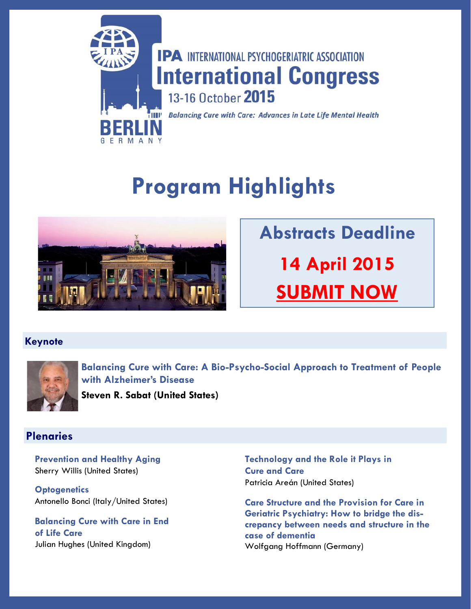

# **Program Highlights**



**Abstracts Deadline 14 April 2015 [SUBMIT NOW](https://b-com.mci-group.com/AbstractSubmission/IPA2015.aspx)**

### **Keynote**



**Balancing Cure with Care: A Bio-Psycho-Social Approach to Treatment of People with Alzheimer's Disease**

**Steven R. Sabat (United States)** 

### **Plenaries**

**Prevention and Healthy Aging** Sherry Willis (United States)

**Optogenetics** Antonello Bonci (Italy/United States)

**Balancing Cure with Care in End of Life Care** Julian Hughes (United Kingdom)

**Technology and the Role it Plays in Cure and Care** Patricia Areán (United States)

**Care Structure and the Provision for Care in Geriatric Psychiatry: How to bridge the discrepancy between needs and structure in the case of dementia** Wolfgang Hoffmann (Germany)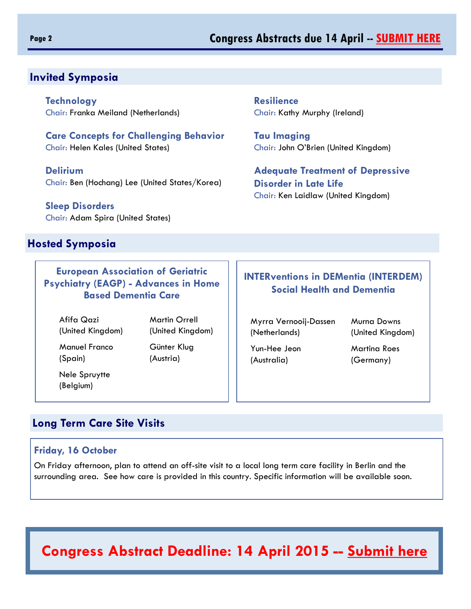### **Page 2 Congress Abstracts due 14 April -- [SUBMIT HERE](https://b-com.mci-group.com/AbstractSubmission/IPA2015.aspx)**

### **Invited Symposia**

**Technology** Chair: Franka Meiland (Netherlands)

**Care Concepts for Challenging Behavior** Chair: Helen Kales (United States)

**Delirium** Chair: Ben (Hochang) Lee (United States/Korea)

**Sleep Disorders** Chair: Adam Spira (United States)

### **Hosted Symposia**

**European Association of Geriatric Psychiatry (EAGP) - Advances in Home Based Dementia Care**

Afifa Qazi Martin Orrell

 Manuel Franco Günter Klug (Spain) (Austria)

 Nele Spruytte (Belgium)

(United Kingdom) (United Kingdom)

**Resilience** Chair: Kathy Murphy (Ireland)

**Tau Imaging** Chair: John O'Brien (United Kingdom)

**Adequate Treatment of Depressive Disorder in Late Life** Chair: Ken Laidlaw (United Kingdom)

### **INTERventions in DEMentia (INTERDEM) Social Health and Dementia**

 Myrra Vernooij-Dassen Murna Downs (Netherlands) (United Kingdom)

 Yun-Hee Jeon Martina Roes (Australia) (Germany)

### **Long Term Care Site Visits**

### **Friday, 16 October**

On Friday afternoon, plan to attend an off-site visit to a local long term care facility in Berlin and the surrounding area. See how care is provided in this country. Specific information will be available soon.

# **Congress Abstract Deadline: 14 April 2015 -- [Submit here](https://b-com.mci-group.com/AbstractSubmission/IPA2015.aspx)**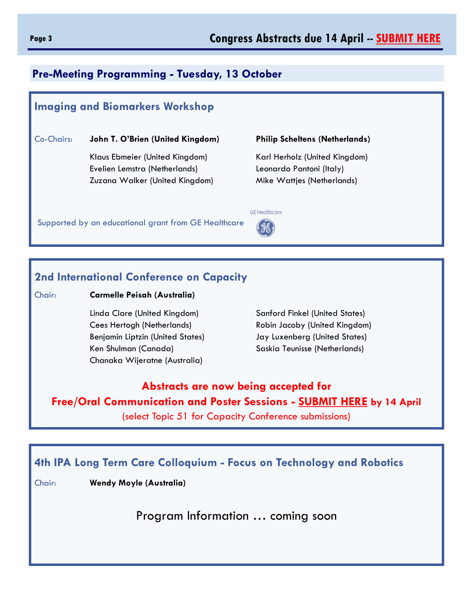### **Pre-Meeting Programming - Tuesday, 13 October**

### **Imaging and Biomarkers Workshop**

### Co-Chairs: **John T. O'Brien (United Kingdom) Philip Scheltens (Netherlands)**

Klaus Ebmeier (United Kingdom) Karl Herholz (United Kingdom) Evelien Lemstra (Netherlands) Leonardo Pantoni (Italy) Zuzana Walker (United Kingdom) Mike Wattjes (Netherlands)

Supported by an educational grant from GE Healthcare



### **2nd International Conference on Capacity**

Chair: **Carmelle Peisah (Australia)**

Linda Clare (United Kingdom) Sanford Finkel (United States) Cees Hertogh (Netherlands) Robin Jacoby (United Kingdom) Benjamin Liptzin (United States) Jay Luxenberg (United States) Ken Shulman (Canada) Saskia Teunisse (Netherlands) Chanaka Wijeratne (Australia)

## **Abstracts are now being accepted for Free/Oral Communication and Poster Sessions - [SUBMIT HERE](https://b-com.mci-group.com/AbstractSubmission/IPA2015.aspx) by 14 April**

(select Topic 51 for Capacity Conference submissions)

### **4th IPA Long Term Care Colloquium - Focus on Technology and Robotics**

Chair: **Wendy Moyle (Australia)**

Program Information … coming soon